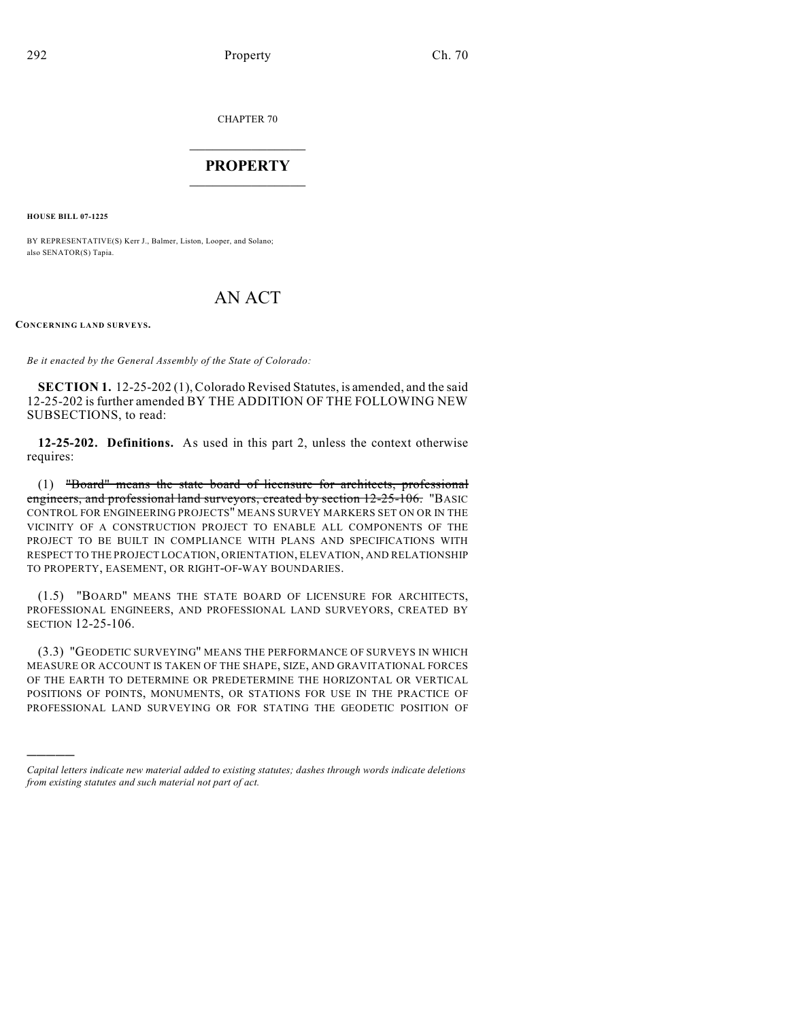CHAPTER 70

## $\mathcal{L}_\text{max}$  . The set of the set of the set of the set of the set of the set of the set of the set of the set of the set of the set of the set of the set of the set of the set of the set of the set of the set of the set **PROPERTY**  $\_$   $\_$   $\_$   $\_$   $\_$   $\_$   $\_$   $\_$   $\_$

**HOUSE BILL 07-1225**

BY REPRESENTATIVE(S) Kerr J., Balmer, Liston, Looper, and Solano; also SENATOR(S) Tapia.

## AN ACT

**CONCERNING LAND SURVEYS.**

)))))

*Be it enacted by the General Assembly of the State of Colorado:*

**SECTION 1.** 12-25-202 (1), Colorado Revised Statutes, is amended, and the said 12-25-202 is further amended BY THE ADDITION OF THE FOLLOWING NEW SUBSECTIONS, to read:

**12-25-202. Definitions.** As used in this part 2, unless the context otherwise requires:

(1) "Board" means the state board of licensure for architects, professional engineers, and professional land surveyors, created by section 12-25-106. "BASIC CONTROL FOR ENGINEERING PROJECTS" MEANS SURVEY MARKERS SET ON OR IN THE VICINITY OF A CONSTRUCTION PROJECT TO ENABLE ALL COMPONENTS OF THE PROJECT TO BE BUILT IN COMPLIANCE WITH PLANS AND SPECIFICATIONS WITH RESPECT TO THE PROJECT LOCATION, ORIENTATION, ELEVATION, AND RELATIONSHIP TO PROPERTY, EASEMENT, OR RIGHT-OF-WAY BOUNDARIES.

(1.5) "BOARD" MEANS THE STATE BOARD OF LICENSURE FOR ARCHITECTS, PROFESSIONAL ENGINEERS, AND PROFESSIONAL LAND SURVEYORS, CREATED BY SECTION 12-25-106.

(3.3) "GEODETIC SURVEYING" MEANS THE PERFORMANCE OF SURVEYS IN WHICH MEASURE OR ACCOUNT IS TAKEN OF THE SHAPE, SIZE, AND GRAVITATIONAL FORCES OF THE EARTH TO DETERMINE OR PREDETERMINE THE HORIZONTAL OR VERTICAL POSITIONS OF POINTS, MONUMENTS, OR STATIONS FOR USE IN THE PRACTICE OF PROFESSIONAL LAND SURVEYING OR FOR STATING THE GEODETIC POSITION OF

*Capital letters indicate new material added to existing statutes; dashes through words indicate deletions from existing statutes and such material not part of act.*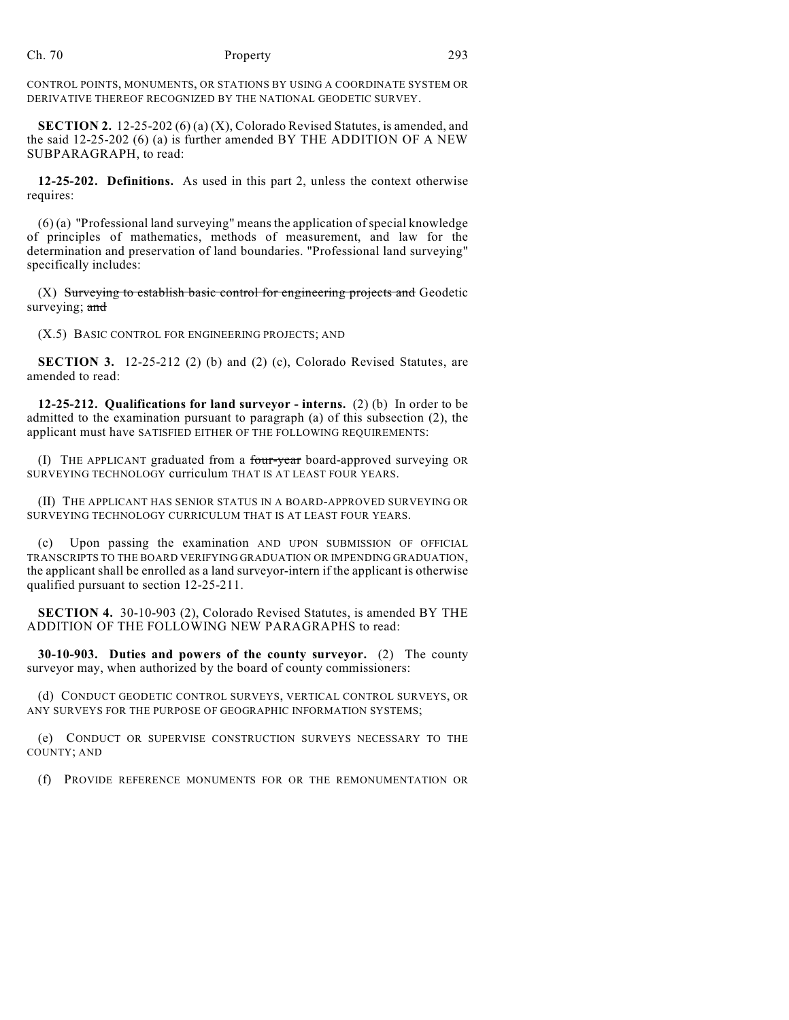## Ch. 70 Property 293

CONTROL POINTS, MONUMENTS, OR STATIONS BY USING A COORDINATE SYSTEM OR DERIVATIVE THEREOF RECOGNIZED BY THE NATIONAL GEODETIC SURVEY.

**SECTION 2.** 12-25-202 (6) (a) (X), Colorado Revised Statutes, is amended, and the said 12-25-202 (6) (a) is further amended BY THE ADDITION OF A NEW SUBPARAGRAPH, to read:

**12-25-202. Definitions.** As used in this part 2, unless the context otherwise requires:

(6) (a) "Professional land surveying" means the application of special knowledge of principles of mathematics, methods of measurement, and law for the determination and preservation of land boundaries. "Professional land surveying" specifically includes:

(X) Surveying to establish basic control for engineering projects and Geodetic surveying; and

(X.5) BASIC CONTROL FOR ENGINEERING PROJECTS; AND

**SECTION 3.** 12-25-212 (2) (b) and (2) (c), Colorado Revised Statutes, are amended to read:

**12-25-212. Qualifications for land surveyor - interns.** (2) (b) In order to be admitted to the examination pursuant to paragraph (a) of this subsection (2), the applicant must have SATISFIED EITHER OF THE FOLLOWING REQUIREMENTS:

(I) THE APPLICANT graduated from a four-year board-approved surveying OR SURVEYING TECHNOLOGY curriculum THAT IS AT LEAST FOUR YEARS.

(II) THE APPLICANT HAS SENIOR STATUS IN A BOARD-APPROVED SURVEYING OR SURVEYING TECHNOLOGY CURRICULUM THAT IS AT LEAST FOUR YEARS.

(c) Upon passing the examination AND UPON SUBMISSION OF OFFICIAL TRANSCRIPTS TO THE BOARD VERIFYING GRADUATION OR IMPENDING GRADUATION, the applicant shall be enrolled as a land surveyor-intern if the applicant is otherwise qualified pursuant to section 12-25-211.

**SECTION 4.** 30-10-903 (2), Colorado Revised Statutes, is amended BY THE ADDITION OF THE FOLLOWING NEW PARAGRAPHS to read:

**30-10-903. Duties and powers of the county surveyor.** (2) The county surveyor may, when authorized by the board of county commissioners:

(d) CONDUCT GEODETIC CONTROL SURVEYS, VERTICAL CONTROL SURVEYS, OR ANY SURVEYS FOR THE PURPOSE OF GEOGRAPHIC INFORMATION SYSTEMS;

(e) CONDUCT OR SUPERVISE CONSTRUCTION SURVEYS NECESSARY TO THE COUNTY; AND

(f) PROVIDE REFERENCE MONUMENTS FOR OR THE REMONUMENTATION OR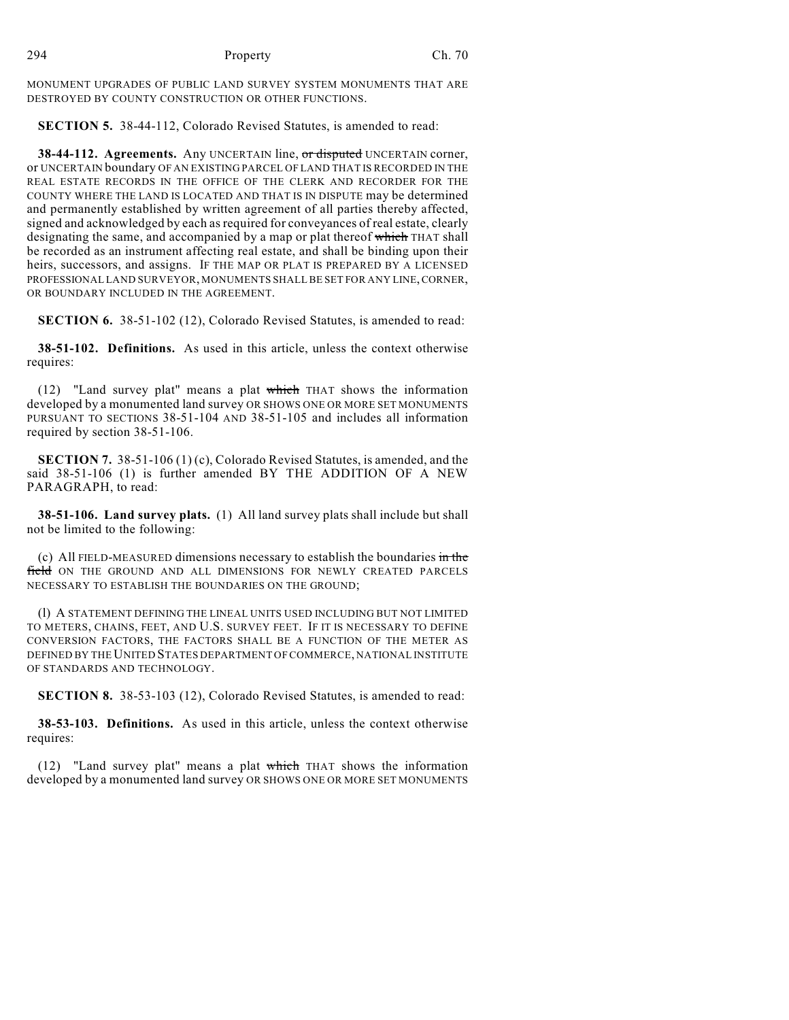MONUMENT UPGRADES OF PUBLIC LAND SURVEY SYSTEM MONUMENTS THAT ARE DESTROYED BY COUNTY CONSTRUCTION OR OTHER FUNCTIONS.

**SECTION 5.** 38-44-112, Colorado Revised Statutes, is amended to read:

**38-44-112. Agreements.** Any UNCERTAIN line, or disputed UNCERTAIN corner, or UNCERTAIN boundary OF AN EXISTING PARCEL OF LAND THAT IS RECORDED IN THE REAL ESTATE RECORDS IN THE OFFICE OF THE CLERK AND RECORDER FOR THE COUNTY WHERE THE LAND IS LOCATED AND THAT IS IN DISPUTE may be determined and permanently established by written agreement of all parties thereby affected, signed and acknowledged by each as required for conveyances of real estate, clearly designating the same, and accompanied by a map or plat thereof which THAT shall be recorded as an instrument affecting real estate, and shall be binding upon their heirs, successors, and assigns. IF THE MAP OR PLAT IS PREPARED BY A LICENSED PROFESSIONAL LAND SURVEYOR, MONUMENTS SHALL BE SET FOR ANY LINE, CORNER, OR BOUNDARY INCLUDED IN THE AGREEMENT.

**SECTION 6.** 38-51-102 (12), Colorado Revised Statutes, is amended to read:

**38-51-102. Definitions.** As used in this article, unless the context otherwise requires:

(12) "Land survey plat" means a plat which THAT shows the information developed by a monumented land survey OR SHOWS ONE OR MORE SET MONUMENTS PURSUANT TO SECTIONS 38-51-104 AND 38-51-105 and includes all information required by section 38-51-106.

**SECTION 7.** 38-51-106 (1) (c), Colorado Revised Statutes, is amended, and the said 38-51-106 (1) is further amended BY THE ADDITION OF A NEW PARAGRAPH, to read:

**38-51-106. Land survey plats.** (1) All land survey plats shall include but shall not be limited to the following:

(c) All FIELD-MEASURED dimensions necessary to establish the boundaries  $\frac{1}{m}$  the field ON THE GROUND AND ALL DIMENSIONS FOR NEWLY CREATED PARCELS NECESSARY TO ESTABLISH THE BOUNDARIES ON THE GROUND;

(l) A STATEMENT DEFINING THE LINEAL UNITS USED INCLUDING BUT NOT LIMITED TO METERS, CHAINS, FEET, AND U.S. SURVEY FEET. IF IT IS NECESSARY TO DEFINE CONVERSION FACTORS, THE FACTORS SHALL BE A FUNCTION OF THE METER AS DEFINED BY THE UNITED STATES DEPARTMENT OF COMMERCE, NATIONAL INSTITUTE OF STANDARDS AND TECHNOLOGY.

**SECTION 8.** 38-53-103 (12), Colorado Revised Statutes, is amended to read:

**38-53-103. Definitions.** As used in this article, unless the context otherwise requires:

(12) "Land survey plat" means a plat which THAT shows the information developed by a monumented land survey OR SHOWS ONE OR MORE SET MONUMENTS